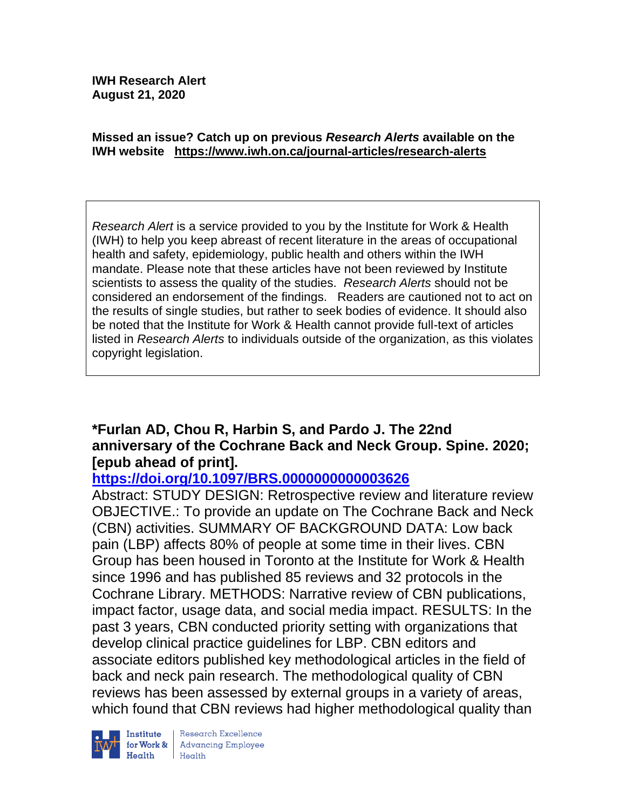#### **Missed an issue? Catch up on previous** *Research Alerts* **available on the [IWH website](http://www.iwh.on.ca/research-alerts) <https://www.iwh.on.ca/journal-articles/research-alerts>**

*Research Alert* is a service provided to you by the Institute for Work & Health (IWH) to help you keep abreast of recent literature in the areas of occupational health and safety, epidemiology, public health and others within the IWH mandate. Please note that these articles have not been reviewed by Institute scientists to assess the quality of the studies. *Research Alerts* should not be considered an endorsement of the findings. Readers are cautioned not to act on the results of single studies, but rather to seek bodies of evidence. It should also be noted that the Institute for Work & Health cannot provide full-text of articles listed in *Research Alerts* to individuals outside of the organization, as this violates copyright legislation.

## **\*Furlan AD, Chou R, Harbin S, and Pardo J. The 22nd anniversary of the Cochrane Back and Neck Group. Spine. 2020; [epub ahead of print].**

### **<https://doi.org/10.1097/BRS.0000000000003626>**

Abstract: STUDY DESIGN: Retrospective review and literature review OBJECTIVE.: To provide an update on The Cochrane Back and Neck (CBN) activities. SUMMARY OF BACKGROUND DATA: Low back pain (LBP) affects 80% of people at some time in their lives. CBN Group has been housed in Toronto at the Institute for Work & Health since 1996 and has published 85 reviews and 32 protocols in the Cochrane Library. METHODS: Narrative review of CBN publications, impact factor, usage data, and social media impact. RESULTS: In the past 3 years, CBN conducted priority setting with organizations that develop clinical practice guidelines for LBP. CBN editors and associate editors published key methodological articles in the field of back and neck pain research. The methodological quality of CBN reviews has been assessed by external groups in a variety of areas, which found that CBN reviews had higher methodological quality than



Research Excellence **Advancing Employee**  $H_{\text{each}}$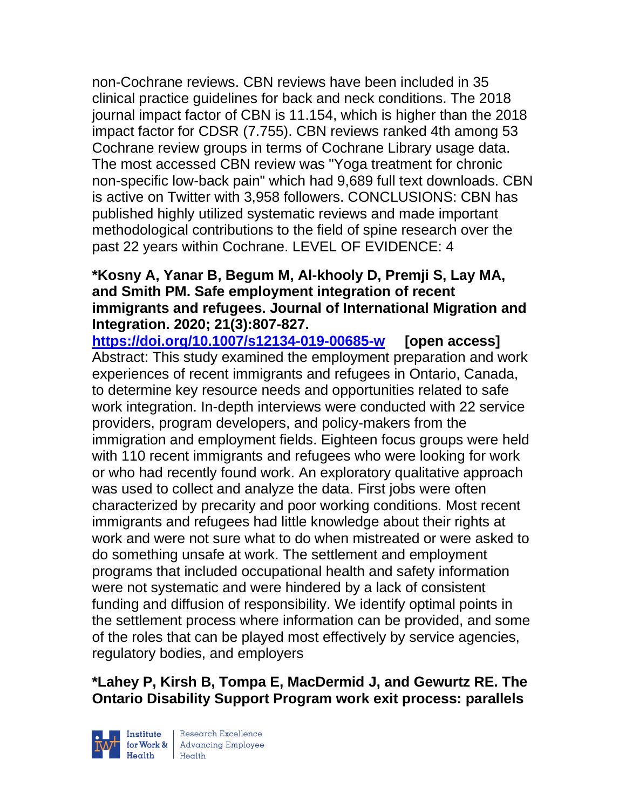non-Cochrane reviews. CBN reviews have been included in 35 clinical practice guidelines for back and neck conditions. The 2018 journal impact factor of CBN is 11.154, which is higher than the 2018 impact factor for CDSR (7.755). CBN reviews ranked 4th among 53 Cochrane review groups in terms of Cochrane Library usage data. The most accessed CBN review was "Yoga treatment for chronic non-specific low-back pain" which had 9,689 full text downloads. CBN is active on Twitter with 3,958 followers. CONCLUSIONS: CBN has published highly utilized systematic reviews and made important methodological contributions to the field of spine research over the past 22 years within Cochrane. LEVEL OF EVIDENCE: 4

### **\*Kosny A, Yanar B, Begum M, Al-khooly D, Premji S, Lay MA, and Smith PM. Safe employment integration of recent immigrants and refugees. Journal of International Migration and Integration. 2020; 21(3):807-827.**

**<https://doi.org/10.1007/s12134-019-00685-w> [open access]** Abstract: This study examined the employment preparation and work experiences of recent immigrants and refugees in Ontario, Canada, to determine key resource needs and opportunities related to safe work integration. In-depth interviews were conducted with 22 service providers, program developers, and policy-makers from the immigration and employment fields. Eighteen focus groups were held with 110 recent immigrants and refugees who were looking for work or who had recently found work. An exploratory qualitative approach was used to collect and analyze the data. First jobs were often characterized by precarity and poor working conditions. Most recent immigrants and refugees had little knowledge about their rights at work and were not sure what to do when mistreated or were asked to do something unsafe at work. The settlement and employment programs that included occupational health and safety information were not systematic and were hindered by a lack of consistent funding and diffusion of responsibility. We identify optimal points in the settlement process where information can be provided, and some of the roles that can be played most effectively by service agencies, regulatory bodies, and employers

# **\*Lahey P, Kirsh B, Tompa E, MacDermid J, and Gewurtz RE. The Ontario Disability Support Program work exit process: parallels**



| Research Excellence for Work & Advancing Employee<br>Health Health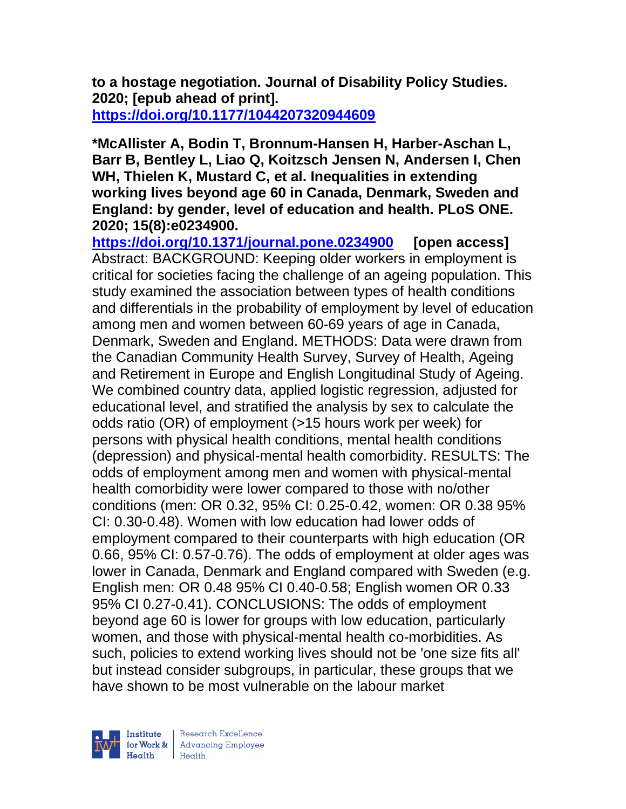**to a hostage negotiation. Journal of Disability Policy Studies. 2020; [epub ahead of print]. <https://doi.org/10.1177/1044207320944609>** 

**\*McAllister A, Bodin T, Bronnum-Hansen H, Harber-Aschan L, Barr B, Bentley L, Liao Q, Koitzsch Jensen N, Andersen I, Chen WH, Thielen K, Mustard C, et al. Inequalities in extending working lives beyond age 60 in Canada, Denmark, Sweden and England: by gender, level of education and health. PLoS ONE. 2020; 15(8):e0234900.**

**<https://doi.org/10.1371/journal.pone.0234900> [open access]** Abstract: BACKGROUND: Keeping older workers in employment is critical for societies facing the challenge of an ageing population. This study examined the association between types of health conditions and differentials in the probability of employment by level of education among men and women between 60-69 years of age in Canada, Denmark, Sweden and England. METHODS: Data were drawn from the Canadian Community Health Survey, Survey of Health, Ageing and Retirement in Europe and English Longitudinal Study of Ageing. We combined country data, applied logistic regression, adjusted for educational level, and stratified the analysis by sex to calculate the odds ratio (OR) of employment (>15 hours work per week) for persons with physical health conditions, mental health conditions (depression) and physical-mental health comorbidity. RESULTS: The odds of employment among men and women with physical-mental health comorbidity were lower compared to those with no/other conditions (men: OR 0.32, 95% CI: 0.25-0.42, women: OR 0.38 95% CI: 0.30-0.48). Women with low education had lower odds of employment compared to their counterparts with high education (OR 0.66, 95% CI: 0.57-0.76). The odds of employment at older ages was lower in Canada, Denmark and England compared with Sweden (e.g. English men: OR 0.48 95% CI 0.40-0.58; English women OR 0.33 95% CI 0.27-0.41). CONCLUSIONS: The odds of employment beyond age 60 is lower for groups with low education, particularly women, and those with physical-mental health co-morbidities. As such, policies to extend working lives should not be 'one size fits all' but instead consider subgroups, in particular, these groups that we have shown to be most vulnerable on the labour market



| Research Excellence for Work & Advancing Employee<br>Health Health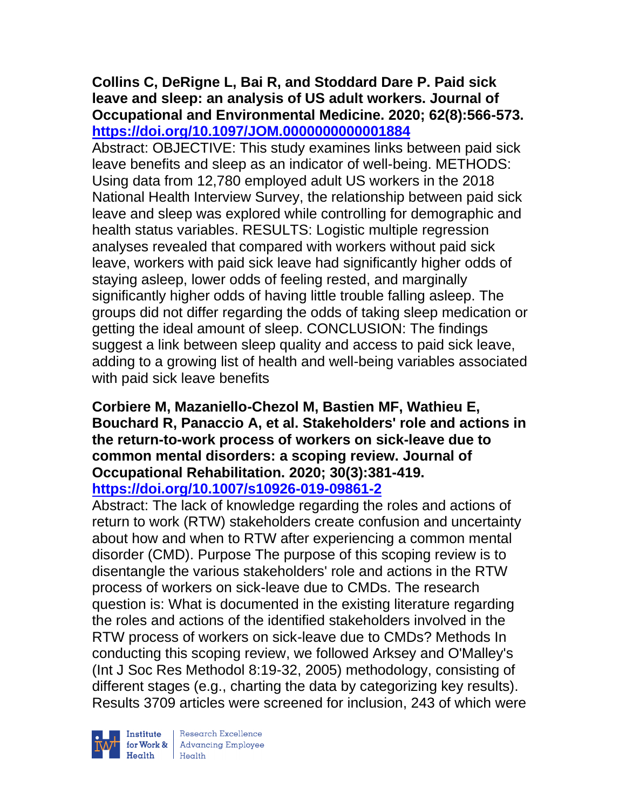### **Collins C, DeRigne L, Bai R, and Stoddard Dare P. Paid sick leave and sleep: an analysis of US adult workers. Journal of Occupational and Environmental Medicine. 2020; 62(8):566-573. <https://doi.org/10.1097/JOM.0000000000001884>**

Abstract: OBJECTIVE: This study examines links between paid sick leave benefits and sleep as an indicator of well-being. METHODS: Using data from 12,780 employed adult US workers in the 2018 National Health Interview Survey, the relationship between paid sick leave and sleep was explored while controlling for demographic and health status variables. RESULTS: Logistic multiple regression analyses revealed that compared with workers without paid sick leave, workers with paid sick leave had significantly higher odds of staying asleep, lower odds of feeling rested, and marginally significantly higher odds of having little trouble falling asleep. The groups did not differ regarding the odds of taking sleep medication or getting the ideal amount of sleep. CONCLUSION: The findings suggest a link between sleep quality and access to paid sick leave, adding to a growing list of health and well-being variables associated with paid sick leave benefits

### **Corbiere M, Mazaniello-Chezol M, Bastien MF, Wathieu E, Bouchard R, Panaccio A, et al. Stakeholders' role and actions in the return-to-work process of workers on sick-leave due to common mental disorders: a scoping review. Journal of Occupational Rehabilitation. 2020; 30(3):381-419. <https://doi.org/10.1007/s10926-019-09861-2>**

Abstract: The lack of knowledge regarding the roles and actions of return to work (RTW) stakeholders create confusion and uncertainty about how and when to RTW after experiencing a common mental disorder (CMD). Purpose The purpose of this scoping review is to disentangle the various stakeholders' role and actions in the RTW process of workers on sick-leave due to CMDs. The research question is: What is documented in the existing literature regarding the roles and actions of the identified stakeholders involved in the RTW process of workers on sick-leave due to CMDs? Methods In conducting this scoping review, we followed Arksey and O'Malley's (Int J Soc Res Methodol 8:19-32, 2005) methodology, consisting of different stages (e.g., charting the data by categorizing key results). Results 3709 articles were screened for inclusion, 243 of which were



 $\begin{tabular}{|l|} Institute & Research Excellence \\ \hline for Work & Advancing Employee \\ Health & Health \\ \end{tabular}$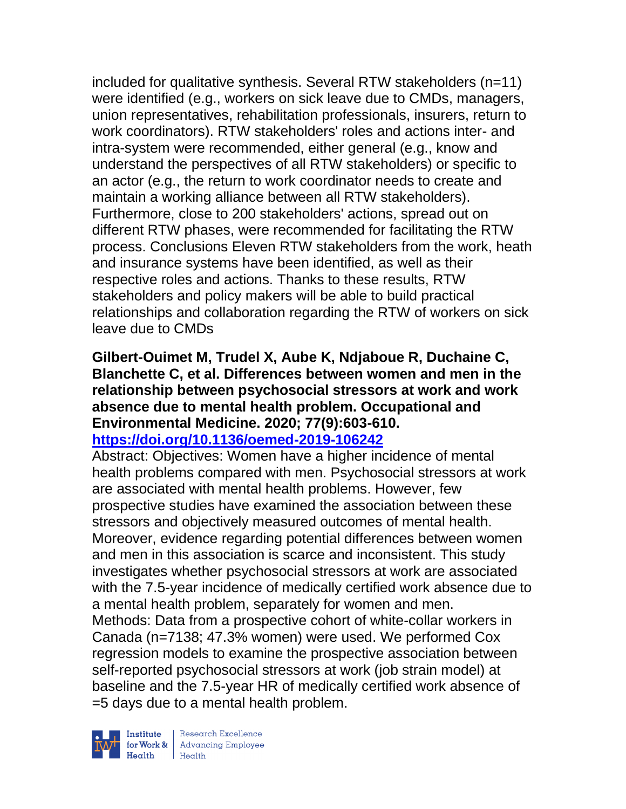included for qualitative synthesis. Several RTW stakeholders (n=11) were identified (e.g., workers on sick leave due to CMDs, managers, union representatives, rehabilitation professionals, insurers, return to work coordinators). RTW stakeholders' roles and actions inter- and intra-system were recommended, either general (e.g., know and understand the perspectives of all RTW stakeholders) or specific to an actor (e.g., the return to work coordinator needs to create and maintain a working alliance between all RTW stakeholders). Furthermore, close to 200 stakeholders' actions, spread out on different RTW phases, were recommended for facilitating the RTW process. Conclusions Eleven RTW stakeholders from the work, heath and insurance systems have been identified, as well as their respective roles and actions. Thanks to these results, RTW stakeholders and policy makers will be able to build practical relationships and collaboration regarding the RTW of workers on sick leave due to CMDs

### **Gilbert-Ouimet M, Trudel X, Aube K, Ndjaboue R, Duchaine C, Blanchette C, et al. Differences between women and men in the relationship between psychosocial stressors at work and work absence due to mental health problem. Occupational and Environmental Medicine. 2020; 77(9):603-610. <https://doi.org/10.1136/oemed-2019-106242>**

Abstract: Objectives: Women have a higher incidence of mental health problems compared with men. Psychosocial stressors at work are associated with mental health problems. However, few prospective studies have examined the association between these stressors and objectively measured outcomes of mental health. Moreover, evidence regarding potential differences between women and men in this association is scarce and inconsistent. This study investigates whether psychosocial stressors at work are associated with the 7.5-year incidence of medically certified work absence due to a mental health problem, separately for women and men. Methods: Data from a prospective cohort of white-collar workers in Canada (n=7138; 47.3% women) were used. We performed Cox regression models to examine the prospective association between self-reported psychosocial stressors at work (job strain model) at baseline and the 7.5-year HR of medically certified work absence of =5 days due to a mental health problem.



 $\begin{tabular}{|l|} Institute & Research Excellence \\ \hline for Work & Advancing Employee \\ Health & Health \\ \end{tabular}$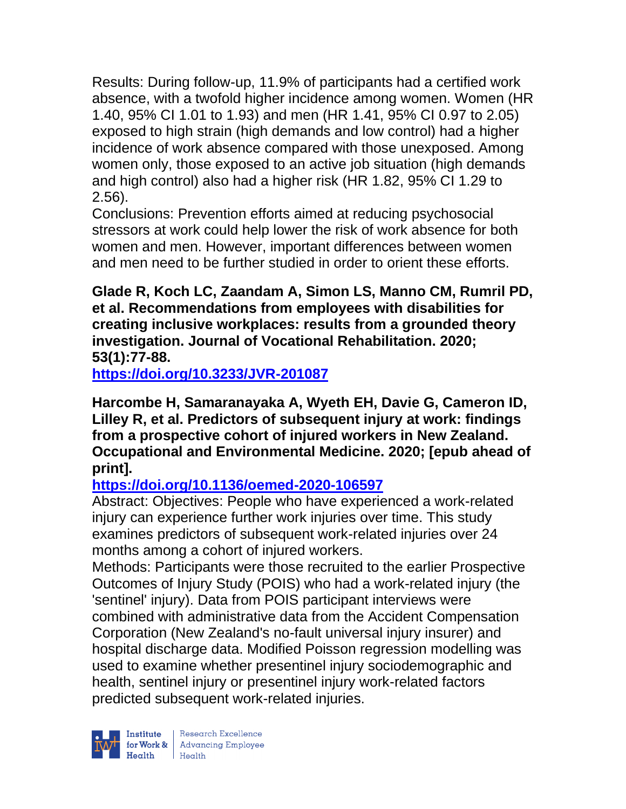Results: During follow-up, 11.9% of participants had a certified work absence, with a twofold higher incidence among women. Women (HR 1.40, 95% CI 1.01 to 1.93) and men (HR 1.41, 95% CI 0.97 to 2.05) exposed to high strain (high demands and low control) had a higher incidence of work absence compared with those unexposed. Among women only, those exposed to an active job situation (high demands and high control) also had a higher risk (HR 1.82, 95% CI 1.29 to 2.56).

Conclusions: Prevention efforts aimed at reducing psychosocial stressors at work could help lower the risk of work absence for both women and men. However, important differences between women and men need to be further studied in order to orient these efforts.

**Glade R, Koch LC, Zaandam A, Simon LS, Manno CM, Rumril PD, et al. Recommendations from employees with disabilities for creating inclusive workplaces: results from a grounded theory investigation. Journal of Vocational Rehabilitation. 2020; 53(1):77-88.** 

**<https://doi.org/10.3233/JVR-201087>** 

**Harcombe H, Samaranayaka A, Wyeth EH, Davie G, Cameron ID, Lilley R, et al. Predictors of subsequent injury at work: findings from a prospective cohort of injured workers in New Zealand. Occupational and Environmental Medicine. 2020; [epub ahead of print].**

# **<https://doi.org/10.1136/oemed-2020-106597>**

Abstract: Objectives: People who have experienced a work-related injury can experience further work injuries over time. This study examines predictors of subsequent work-related injuries over 24 months among a cohort of injured workers.

Methods: Participants were those recruited to the earlier Prospective Outcomes of Injury Study (POIS) who had a work-related injury (the 'sentinel' injury). Data from POIS participant interviews were combined with administrative data from the Accident Compensation Corporation (New Zealand's no-fault universal injury insurer) and hospital discharge data. Modified Poisson regression modelling was used to examine whether presentinel injury sociodemographic and health, sentinel injury or presentinel injury work-related factors predicted subsequent work-related injuries.

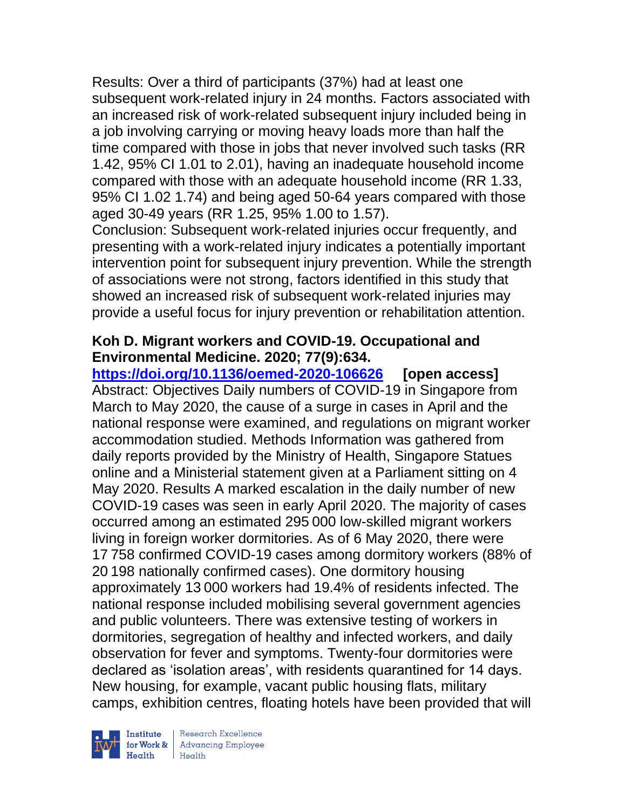Results: Over a third of participants (37%) had at least one subsequent work-related injury in 24 months. Factors associated with an increased risk of work-related subsequent injury included being in a job involving carrying or moving heavy loads more than half the time compared with those in jobs that never involved such tasks (RR 1.42, 95% CI 1.01 to 2.01), having an inadequate household income compared with those with an adequate household income (RR 1.33, 95% CI 1.02 1.74) and being aged 50-64 years compared with those aged 30-49 years (RR 1.25, 95% 1.00 to 1.57).

Conclusion: Subsequent work-related injuries occur frequently, and presenting with a work-related injury indicates a potentially important intervention point for subsequent injury prevention. While the strength of associations were not strong, factors identified in this study that showed an increased risk of subsequent work-related injuries may provide a useful focus for injury prevention or rehabilitation attention.

## **Koh D. Migrant workers and COVID-19. Occupational and Environmental Medicine. 2020; 77(9):634.**

**<https://doi.org/10.1136/oemed-2020-106626> [open access]** Abstract: Objectives Daily numbers of COVID-19 in Singapore from March to May 2020, the cause of a surge in cases in April and the national response were examined, and regulations on migrant worker accommodation studied. Methods Information was gathered from daily reports provided by the Ministry of Health, Singapore Statues online and a Ministerial statement given at a Parliament sitting on 4 May 2020. Results A marked escalation in the daily number of new COVID-19 cases was seen in early April 2020. The majority of cases occurred among an estimated 295 000 low-skilled migrant workers living in foreign worker dormitories. As of 6 May 2020, there were 17 758 confirmed COVID-19 cases among dormitory workers (88% of 20 198 nationally confirmed cases). One dormitory housing approximately 13 000 workers had 19.4% of residents infected. The national response included mobilising several government agencies and public volunteers. There was extensive testing of workers in dormitories, segregation of healthy and infected workers, and daily observation for fever and symptoms. Twenty-four dormitories were declared as 'isolation areas', with residents quarantined for 14 days. New housing, for example, vacant public housing flats, military camps, exhibition centres, floating hotels have been provided that will



Research Excellence Health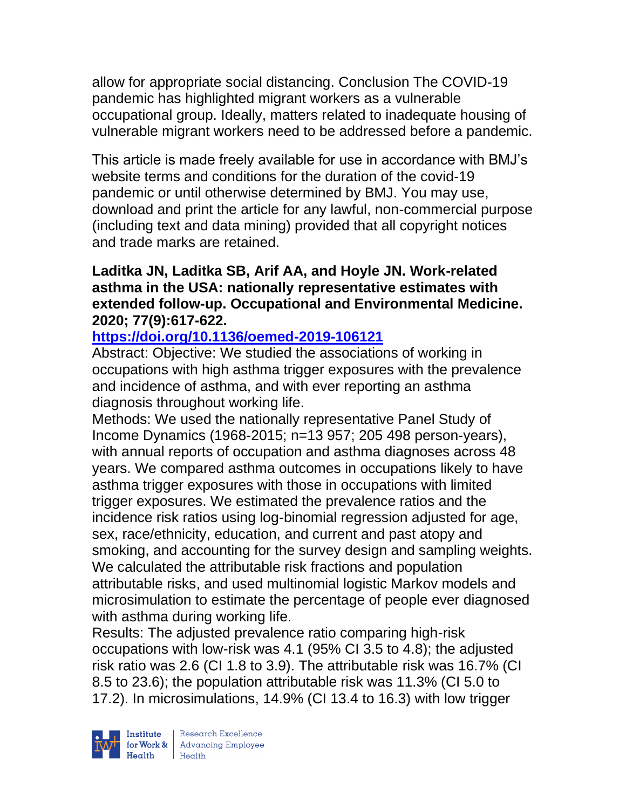allow for appropriate social distancing. Conclusion The COVID-19 pandemic has highlighted migrant workers as a vulnerable occupational group. Ideally, matters related to inadequate housing of vulnerable migrant workers need to be addressed before a pandemic.

This article is made freely available for use in accordance with BMJ's website terms and conditions for the duration of the covid-19 pandemic or until otherwise determined by BMJ. You may use, download and print the article for any lawful, non-commercial purpose (including text and data mining) provided that all copyright notices and trade marks are retained.

### **Laditka JN, Laditka SB, Arif AA, and Hoyle JN. Work-related asthma in the USA: nationally representative estimates with extended follow-up. Occupational and Environmental Medicine. 2020; 77(9):617-622.**

# **<https://doi.org/10.1136/oemed-2019-106121>**

Abstract: Objective: We studied the associations of working in occupations with high asthma trigger exposures with the prevalence and incidence of asthma, and with ever reporting an asthma diagnosis throughout working life.

Methods: We used the nationally representative Panel Study of Income Dynamics (1968-2015; n=13 957; 205 498 person-years), with annual reports of occupation and asthma diagnoses across 48 years. We compared asthma outcomes in occupations likely to have asthma trigger exposures with those in occupations with limited trigger exposures. We estimated the prevalence ratios and the incidence risk ratios using log-binomial regression adjusted for age, sex, race/ethnicity, education, and current and past atopy and smoking, and accounting for the survey design and sampling weights. We calculated the attributable risk fractions and population attributable risks, and used multinomial logistic Markov models and microsimulation to estimate the percentage of people ever diagnosed with asthma during working life.

Results: The adjusted prevalence ratio comparing high-risk occupations with low-risk was 4.1 (95% CI 3.5 to 4.8); the adjusted risk ratio was 2.6 (CI 1.8 to 3.9). The attributable risk was 16.7% (CI 8.5 to 23.6); the population attributable risk was 11.3% (CI 5.0 to 17.2). In microsimulations, 14.9% (CI 13.4 to 16.3) with low trigger

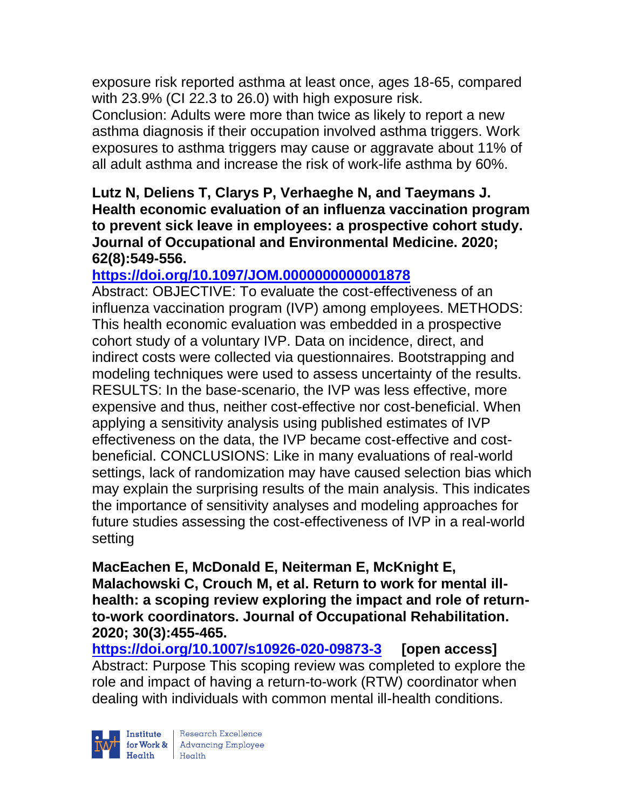exposure risk reported asthma at least once, ages 18-65, compared with 23.9% (CI 22.3 to 26.0) with high exposure risk.

Conclusion: Adults were more than twice as likely to report a new asthma diagnosis if their occupation involved asthma triggers. Work exposures to asthma triggers may cause or aggravate about 11% of all adult asthma and increase the risk of work-life asthma by 60%.

### **Lutz N, Deliens T, Clarys P, Verhaeghe N, and Taeymans J. Health economic evaluation of an influenza vaccination program to prevent sick leave in employees: a prospective cohort study. Journal of Occupational and Environmental Medicine. 2020; 62(8):549-556.**

# **<https://doi.org/10.1097/JOM.0000000000001878>**

Abstract: OBJECTIVE: To evaluate the cost-effectiveness of an influenza vaccination program (IVP) among employees. METHODS: This health economic evaluation was embedded in a prospective cohort study of a voluntary IVP. Data on incidence, direct, and indirect costs were collected via questionnaires. Bootstrapping and modeling techniques were used to assess uncertainty of the results. RESULTS: In the base-scenario, the IVP was less effective, more expensive and thus, neither cost-effective nor cost-beneficial. When applying a sensitivity analysis using published estimates of IVP effectiveness on the data, the IVP became cost-effective and costbeneficial. CONCLUSIONS: Like in many evaluations of real-world settings, lack of randomization may have caused selection bias which may explain the surprising results of the main analysis. This indicates the importance of sensitivity analyses and modeling approaches for future studies assessing the cost-effectiveness of IVP in a real-world setting

**MacEachen E, McDonald E, Neiterman E, McKnight E, Malachowski C, Crouch M, et al. Return to work for mental illhealth: a scoping review exploring the impact and role of returnto-work coordinators. Journal of Occupational Rehabilitation. 2020; 30(3):455-465.** 

**<https://doi.org/10.1007/s10926-020-09873-3> [open access]** Abstract: Purpose This scoping review was completed to explore the role and impact of having a return-to-work (RTW) coordinator when dealing with individuals with common mental ill-health conditions.

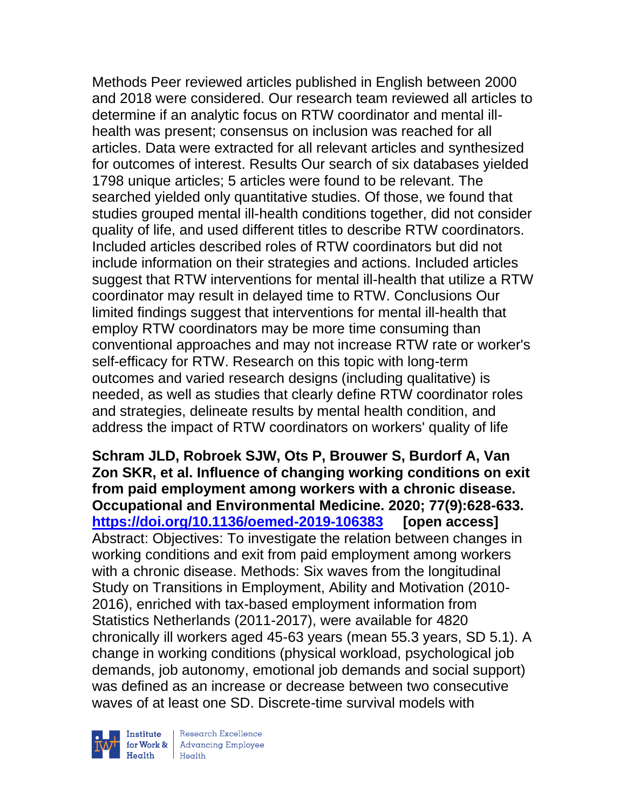Methods Peer reviewed articles published in English between 2000 and 2018 were considered. Our research team reviewed all articles to determine if an analytic focus on RTW coordinator and mental illhealth was present; consensus on inclusion was reached for all articles. Data were extracted for all relevant articles and synthesized for outcomes of interest. Results Our search of six databases yielded 1798 unique articles; 5 articles were found to be relevant. The searched yielded only quantitative studies. Of those, we found that studies grouped mental ill-health conditions together, did not consider quality of life, and used different titles to describe RTW coordinators. Included articles described roles of RTW coordinators but did not include information on their strategies and actions. Included articles suggest that RTW interventions for mental ill-health that utilize a RTW coordinator may result in delayed time to RTW. Conclusions Our limited findings suggest that interventions for mental ill-health that employ RTW coordinators may be more time consuming than conventional approaches and may not increase RTW rate or worker's self-efficacy for RTW. Research on this topic with long-term outcomes and varied research designs (including qualitative) is needed, as well as studies that clearly define RTW coordinator roles and strategies, delineate results by mental health condition, and address the impact of RTW coordinators on workers' quality of life

**Schram JLD, Robroek SJW, Ots P, Brouwer S, Burdorf A, Van Zon SKR, et al. Influence of changing working conditions on exit from paid employment among workers with a chronic disease. Occupational and Environmental Medicine. 2020; 77(9):628-633. <https://doi.org/10.1136/oemed-2019-106383> [open access]** Abstract: Objectives: To investigate the relation between changes in working conditions and exit from paid employment among workers with a chronic disease. Methods: Six waves from the longitudinal Study on Transitions in Employment, Ability and Motivation (2010- 2016), enriched with tax-based employment information from Statistics Netherlands (2011-2017), were available for 4820 chronically ill workers aged 45-63 years (mean 55.3 years, SD 5.1). A change in working conditions (physical workload, psychological job demands, job autonomy, emotional job demands and social support) was defined as an increase or decrease between two consecutive waves of at least one SD. Discrete-time survival models with



| Research Excellence Financial Research Excellence<br>
Financial Realth<br>
Realth<br>
Realth<br>
Realth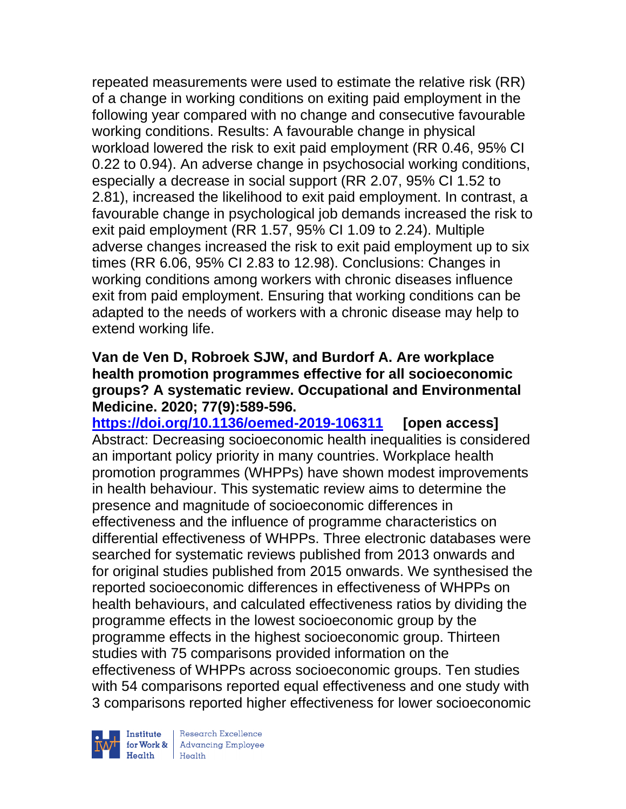repeated measurements were used to estimate the relative risk (RR) of a change in working conditions on exiting paid employment in the following year compared with no change and consecutive favourable working conditions. Results: A favourable change in physical workload lowered the risk to exit paid employment (RR 0.46, 95% CI 0.22 to 0.94). An adverse change in psychosocial working conditions, especially a decrease in social support (RR 2.07, 95% CI 1.52 to 2.81), increased the likelihood to exit paid employment. In contrast, a favourable change in psychological job demands increased the risk to exit paid employment (RR 1.57, 95% CI 1.09 to 2.24). Multiple adverse changes increased the risk to exit paid employment up to six times (RR 6.06, 95% CI 2.83 to 12.98). Conclusions: Changes in working conditions among workers with chronic diseases influence exit from paid employment. Ensuring that working conditions can be adapted to the needs of workers with a chronic disease may help to extend working life.

### **Van de Ven D, Robroek SJW, and Burdorf A. Are workplace health promotion programmes effective for all socioeconomic groups? A systematic review. Occupational and Environmental Medicine. 2020; 77(9):589-596.**

**<https://doi.org/10.1136/oemed-2019-106311> [open access]** Abstract: Decreasing socioeconomic health inequalities is considered an important policy priority in many countries. Workplace health promotion programmes (WHPPs) have shown modest improvements in health behaviour. This systematic review aims to determine the presence and magnitude of socioeconomic differences in effectiveness and the influence of programme characteristics on differential effectiveness of WHPPs. Three electronic databases were searched for systematic reviews published from 2013 onwards and for original studies published from 2015 onwards. We synthesised the reported socioeconomic differences in effectiveness of WHPPs on health behaviours, and calculated effectiveness ratios by dividing the programme effects in the lowest socioeconomic group by the programme effects in the highest socioeconomic group. Thirteen studies with 75 comparisons provided information on the effectiveness of WHPPs across socioeconomic groups. Ten studies with 54 comparisons reported equal effectiveness and one study with 3 comparisons reported higher effectiveness for lower socioeconomic



| Research Excellence Financial Research Excellence<br>
Financial Realth<br>
Realth<br>
Realth<br>
Realth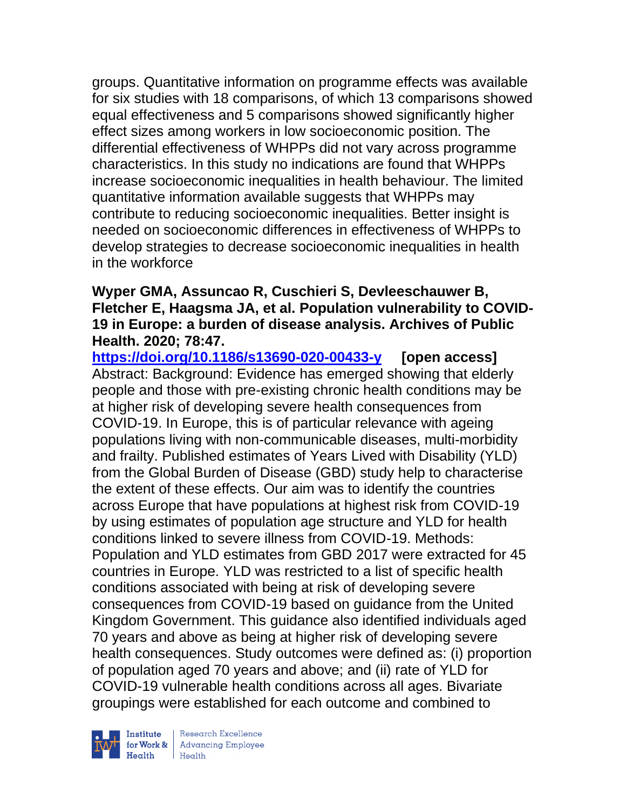groups. Quantitative information on programme effects was available for six studies with 18 comparisons, of which 13 comparisons showed equal effectiveness and 5 comparisons showed significantly higher effect sizes among workers in low socioeconomic position. The differential effectiveness of WHPPs did not vary across programme characteristics. In this study no indications are found that WHPPs increase socioeconomic inequalities in health behaviour. The limited quantitative information available suggests that WHPPs may contribute to reducing socioeconomic inequalities. Better insight is needed on socioeconomic differences in effectiveness of WHPPs to develop strategies to decrease socioeconomic inequalities in health in the workforce

### **Wyper GMA, Assuncao R, Cuschieri S, Devleeschauwer B, Fletcher E, Haagsma JA, et al. Population vulnerability to COVID-19 in Europe: a burden of disease analysis. Archives of Public Health. 2020; 78:47.**

**<https://doi.org/10.1186/s13690-020-00433-y> [open access]** Abstract: Background: Evidence has emerged showing that elderly people and those with pre-existing chronic health conditions may be at higher risk of developing severe health consequences from COVID-19. In Europe, this is of particular relevance with ageing populations living with non-communicable diseases, multi-morbidity and frailty. Published estimates of Years Lived with Disability (YLD) from the Global Burden of Disease (GBD) study help to characterise the extent of these effects. Our aim was to identify the countries across Europe that have populations at highest risk from COVID-19 by using estimates of population age structure and YLD for health conditions linked to severe illness from COVID-19. Methods: Population and YLD estimates from GBD 2017 were extracted for 45 countries in Europe. YLD was restricted to a list of specific health conditions associated with being at risk of developing severe consequences from COVID-19 based on guidance from the United Kingdom Government. This guidance also identified individuals aged 70 years and above as being at higher risk of developing severe health consequences. Study outcomes were defined as: (i) proportion of population aged 70 years and above; and (ii) rate of YLD for COVID-19 vulnerable health conditions across all ages. Bivariate groupings were established for each outcome and combined to



 $\begin{tabular}{|l|} Institute & Research Excellence \\ \hline for Work & Advancing Employee \\ Health & Health \\ \end{tabular}$